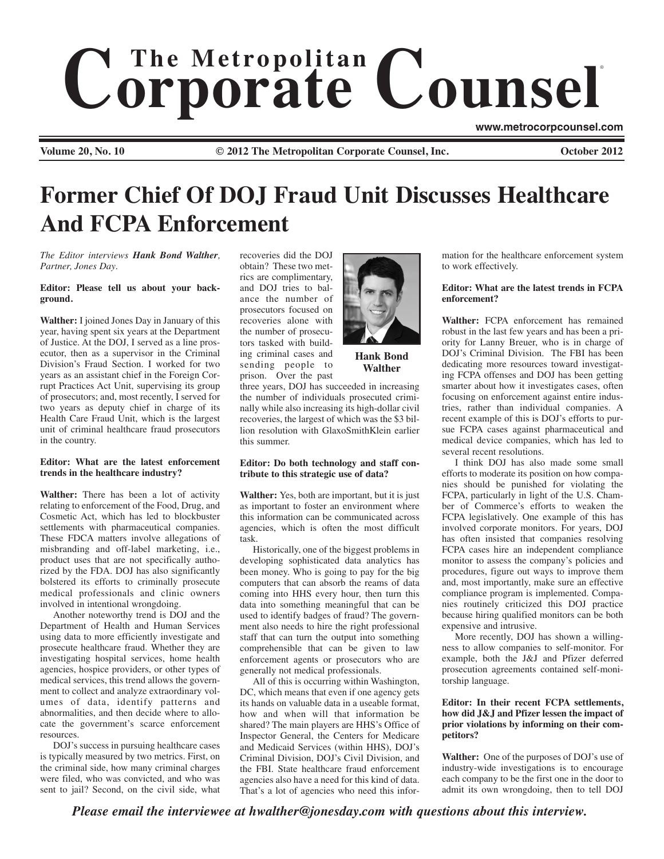# $$ ®

**Volume 20, No. 10 © 2012 The Metropolitan Corporate Counsel, Inc. October 2012**

**www.metrocorpcounsel.com**

**Former Chief Of DOJ Fraud Unit Discusses Healthcare And FCPA Enforcement**

*The Editor interviews Hank Bond Walther, Partner, Jones Day.*

#### **Editor: Please tell us about your background.**

**Walther:** I joined Jones Day in January of this year, having spent six years at the Department of Justice. At the DOJ, I served as a line prosecutor, then as a supervisor in the Criminal Division's Fraud Section. I worked for two years as an assistant chief in the Foreign Corrupt Practices Act Unit, supervising its group of prosecutors; and, most recently, I served for two years as deputy chief in charge of its Health Care Fraud Unit, which is the largest unit of criminal healthcare fraud prosecutors in the country.

# **Editor: What are the latest enforcement trends in the healthcare industry?**

**Walther:** There has been a lot of activity relating to enforcement of the Food, Drug, and Cosmetic Act, which has led to blockbuster settlements with pharmaceutical companies. These FDCA matters involve allegations of misbranding and off-label marketing, i.e., product uses that are not specifically authorized by the FDA. DOJ has also significantly bolstered its efforts to criminally prosecute medical professionals and clinic owners involved in intentional wrongdoing.

Another noteworthy trend is DOJ and the Department of Health and Human Services using data to more efficiently investigate and prosecute healthcare fraud. Whether they are investigating hospital services, home health agencies, hospice providers, or other types of medical services, this trend allows the government to collect and analyze extraordinary volumes of data, identify patterns and abnormalities, and then decide where to allocate the government's scarce enforcement resources.

DOJ's success in pursuing healthcare cases is typically measured by two metrics. First, on the criminal side, how many criminal charges were filed, who was convicted, and who was sent to jail? Second, on the civil side, what recoveries did the DOJ obtain? These two metrics are complimentary, and DOJ tries to balance the number of prosecutors focused on recoveries alone with the number of prosecutors tasked with building criminal cases and sending people to prison. Over the past



**Hank Bond Walther**

three years, DOJ has succeeded in increasing the number of individuals prosecuted criminally while also increasing its high-dollar civil recoveries, the largest of which was the \$3 billion resolution with GlaxoSmithKlein earlier this summer.

#### **Editor: Do both technology and staff contribute to this strategic use of data?**

**Walther:** Yes, both are important, but it is just as important to foster an environment where this information can be communicated across agencies, which is often the most difficult task.

Historically, one of the biggest problems in developing sophisticated data analytics has been money. Who is going to pay for the big computers that can absorb the reams of data coming into HHS every hour, then turn this data into something meaningful that can be used to identify badges of fraud? The government also needs to hire the right professional staff that can turn the output into something comprehensible that can be given to law enforcement agents or prosecutors who are generally not medical professionals.

All of this is occurring within Washington, DC, which means that even if one agency gets its hands on valuable data in a useable format, how and when will that information be shared? The main players are HHS's Office of Inspector General, the Centers for Medicare and Medicaid Services (within HHS), DOJ's Criminal Division, DOJ's Civil Division, and the FBI. State healthcare fraud enforcement agencies also have a need for this kind of data. That's a lot of agencies who need this information for the healthcare enforcement system to work effectively.

# **Editor: What are the latest trends in FCPA enforcement?**

**Walther:** FCPA enforcement has remained robust in the last few years and has been a priority for Lanny Breuer, who is in charge of DOJ's Criminal Division. The FBI has been dedicating more resources toward investigating FCPA offenses and DOJ has been getting smarter about how it investigates cases, often focusing on enforcement against entire industries, rather than individual companies. A recent example of this is DOJ's efforts to pursue FCPA cases against pharmaceutical and medical device companies, which has led to several recent resolutions.

I think DOJ has also made some small efforts to moderate its position on how companies should be punished for violating the FCPA, particularly in light of the U.S. Chamber of Commerce's efforts to weaken the FCPA legislatively. One example of this has involved corporate monitors. For years, DOJ has often insisted that companies resolving FCPA cases hire an independent compliance monitor to assess the company's policies and procedures, figure out ways to improve them and, most importantly, make sure an effective compliance program is implemented. Companies routinely criticized this DOJ practice because hiring qualified monitors can be both expensive and intrusive.

More recently, DOJ has shown a willingness to allow companies to self-monitor. For example, both the J&J and Pfizer deferred prosecution agreements contained self-monitorship language.

# **Editor: In their recent FCPA settlements, how did J&J and Pfizer lessen the impact of prior violations by informing on their competitors?**

**Walther:** One of the purposes of DOJ's use of industry-wide investigations is to encourage each company to be the first one in the door to admit its own wrongdoing, then to tell DOJ

*Please email the interviewee at hwalther@jonesday.com with questions about this interview.*